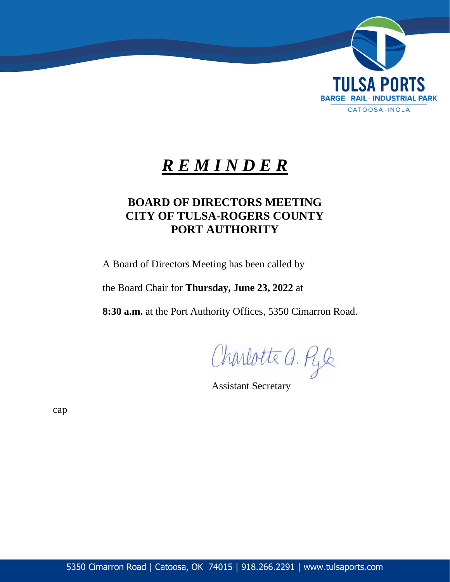

# *R E M I N D E R*

# **BOARD OF DIRECTORS MEETING CITY OF TULSA-ROGERS COUNTY PORT AUTHORITY**

A Board of Directors Meeting has been called by

the Board Chair for **Thursday, June 23, 2022** at

**8:30 a.m.** at the Port Authority Offices, 5350 Cimarron Road.

Charlotte a. Ryle

Assistant Secretary

cap